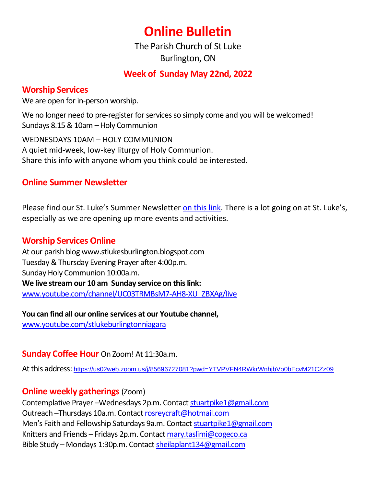# **Online Bulletin**

The Parish Church of St Luke Burlington, ON

# **Week of Sunday May 22nd, 2022**

## **Worship Services**

We are open for in-person worship.

We no longer need to pre-register for services so simply come and you will be welcomed! Sundays 8.15 & 10am – Holy Communion

WEDNESDAYS 10AM – HOLY COMMUNION A quiet mid-week, low-key liturgy of Holy Communion. Share this info with anyone whom you think could be interested.

# **Online Summer Newsletter**

Please find our St. Luke's Summer Newsletter [on this link](https://stlukesburlington.ca/wp-content/uploads/2022/05/News-and-Views-Summer-2022-version-3-std.pdf). There is a lot going on at St. Luke's, especially as we are opening up more events and activities.

#### **Worship Services Online**

At our parish blog www.stlukesburlington.blogspot.com Tuesday & Thursday Evening Prayer after 4:00p.m. Sunday Holy Communion 10:00a.m. **We live stream our 10 am Sunday service on this link:** [www.youtube.com/channel/UC03TRMBsM7-AH8-XU\\_ZBXAg/live](http://www.youtube.com/channel/UC03TRMBsM7-AH8-XU_ZBXAg/live)

**You can find all our online services at our Youtube channel,** [www.youtube.com/stlukeburlingtonniagara](http://www.youtube.com/stlukeburlingtonniagara)

## **Sunday Coffee Hour** On Zoom! At 11:30a.m.

At this address: <https://us02web.zoom.us/j/85696727081?pwd=YTVPVFN4RWkrWnhjbVo0bEcvM21CZz09>

## **Online weekly gatherings** (Zoom)

Contemplative Prayer –Wednesdays 2p.m. Contact [stuartpike1@gmail.com](mailto:stuartpike1@gmail.com) Outreach –Thursdays 10a.m. Contact [rosreycraft@hotmail.com](mailto:rosreycraft@hotmail.com) Men's Faith and Fellowship Saturdays 9a.m. Contact [stuartpike1@gmail.com](mailto:stuartpike1@gmail.com) Knitters and Friends – Fridays 2p.m. Contact [mary.taslimi@cogeco.ca](mailto:mary.taslimi@cogeco.ca) Bible Study – Mondays 1:30p.m. Contact [sheilaplant134@gmail.com](mailto:sheilaplant134@gmail.com)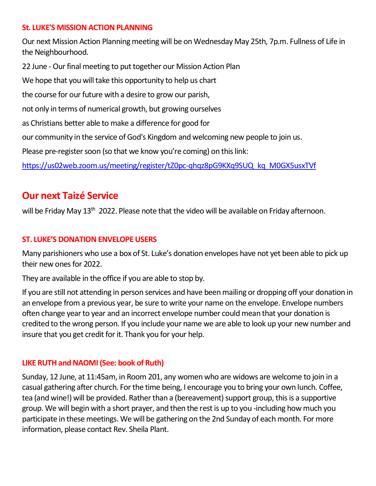#### **St. LUKE'S MISSION ACTION PLANNING**

Our next Mission Action Planning meeting will be on Wednesday May 25th, 7p.m. Fullness of Life in the Neighbourhood.

22 June - Our final meeting to put together our Mission Action Plan We hope that you will take this opportunity to help us chart the course for our future with a desire to grow our parish, not only in terms of numerical growth, but growing ourselves as Christians better able to make a difference for good for our community in the service of God's Kingdom and welcoming new people to join us. Please pre-register soon (so that we know you're coming) on this link: [https://us02web.zoom.us/meeting/register/tZ0pc-qhqz8pG9KXq9SUQ\\_kq\\_M0GX5usxTVf](https://us02web.zoom.us/meeting/register/tZ0pc-qhqz8pG9KXq9SUQ_kq_M0GX5usxTVf)

# **Our next Taizé Service**

will be Friday May 13<sup>th</sup> 2022. Please note that the video will be available on Friday afternoon.

#### **ST. LUKE'S DONATION ENVELOPE USERS**

Many parishioners who use a box of St. Luke's donation envelopes have not yet been able to pick up their new ones for 2022.

They are available in the office if you are able to stop by.

If you are still not attending in person services and have been mailing or dropping off your donation in an envelope from a previous year, be sure to write your name on the envelope. Envelope numbers often change year to year and an incorrect envelope number could mean that your donation is credited to the wrong person. If you include your name we are able to look up your new number and insure that you get credit for it. Thank you for your help.

#### **LIKE RUTH and NAOMI (See: book of Ruth)**

Sunday, 12 June, at 11:45am, in Room 201, any women who are widows are welcome to join in a casual gathering after church. For the time being, I encourage you to bring your own lunch. Coffee, tea (and wine!) will be provided. Rather than a (bereavement) support group, this is a supportive group. We will begin with a short prayer, and then the rest is up to you -including how much you participate in these meetings. We will be gathering on the 2nd Sunday of each month. For more information, please contact Rev. Sheila Plant.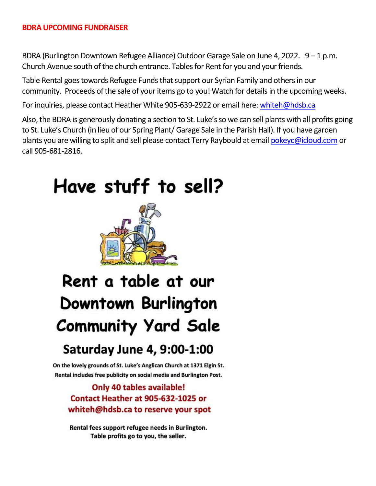#### **BDRA UPCOMING FUNDRAISER**

BDRA (Burlington Downtown Refugee Alliance) Outdoor Garage Sale on June 4, 2022. 9 – 1 p.m. Church Avenue south of the church entrance. Tables for Rent for you and your friends.

Table Rental goes towards Refugee Funds that support our Syrian Family and others in our community. Proceeds of the sale of your items go to you! Watch for details in the upcoming weeks.

For inquiries, please contact Heather White 905-639-2922 or email here: [whiteh@hdsb.ca](mailto:whiteh@hdsb.ca)

Also, the BDRA is generously donating a section to St. Luke's so we can sell plants with all profits going to St. Luke's Church (in lieu of our Spring Plant/ Garage Sale in the Parish Hall). If you have garden plants you are willing to split and sell please contact Terry Raybould at email [pokeyc@icloud.com](mailto:pokeyc@icloud.com) or call 905-681-2816.

# Have stuff to sell?



# Rent a table at our Downtown Burlington **Community Yard Sale**

# **Saturday June 4, 9:00-1:00**

On the lovely grounds of St. Luke's Anglican Church at 1371 Elgin St. Rental includes free publicity on social media and Burlington Post.

# Only 40 tables available! Contact Heather at 905-632-1025 or whiteh@hdsb.ca to reserve your spot

Rental fees support refugee needs in Burlington. Table profits go to you, the seller.